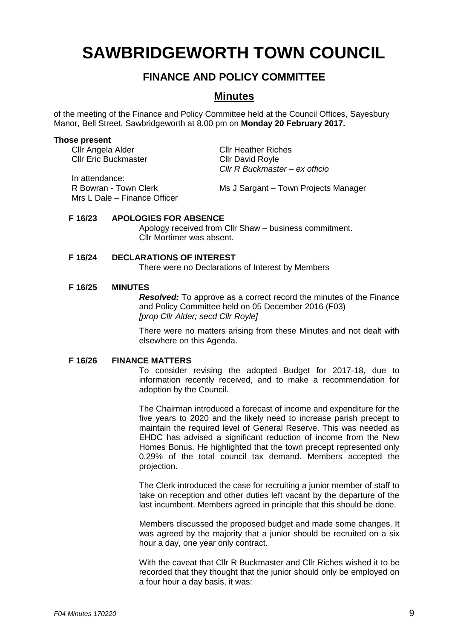# **SAWBRIDGEWORTH TOWN COUNCIL**

## **FINANCE AND POLICY COMMITTEE**

### **Minutes**

of the meeting of the Finance and Policy Committee held at the Council Offices, Sayesbury Manor, Bell Street, Sawbridgeworth at 8.00 pm on **Monday 20 February 2017.**

#### **Those present**

Cllr Angela Alder Cllr Heather Riches Cllr Eric Buckmaster Cllr David Royle

In attendance: Mrs L Dale – Finance Officer

R Bowran - Town Clerk Ms J Sargant – Town Projects Manager

*Cllr R Buckmaster – ex officio*

#### **F 16/23 APOLOGIES FOR ABSENCE**

Apology received from Cllr Shaw – business commitment. Cllr Mortimer was absent.

#### **F 16/24 DECLARATIONS OF INTEREST**

There were no Declarations of Interest by Members

#### **F 16/25 MINUTES**

*Resolved:* To approve as a correct record the minutes of the Finance and Policy Committee held on 05 December 2016 (F03) *[prop Cllr Alder; secd Cllr Royle]*

There were no matters arising from these Minutes and not dealt with elsewhere on this Agenda.

#### **F 16/26 FINANCE MATTERS**

To consider revising the adopted Budget for 2017-18, due to information recently received, and to make a recommendation for adoption by the Council.

The Chairman introduced a forecast of income and expenditure for the five years to 2020 and the likely need to increase parish precept to maintain the required level of General Reserve. This was needed as EHDC has advised a significant reduction of income from the New Homes Bonus. He highlighted that the town precept represented only 0.29% of the total council tax demand. Members accepted the projection.

The Clerk introduced the case for recruiting a junior member of staff to take on reception and other duties left vacant by the departure of the last incumbent. Members agreed in principle that this should be done.

Members discussed the proposed budget and made some changes. It was agreed by the majority that a junior should be recruited on a six hour a day, one year only contract.

With the caveat that Cllr R Buckmaster and Cllr Riches wished it to be recorded that they thought that the junior should only be employed on a four hour a day basis, it was: